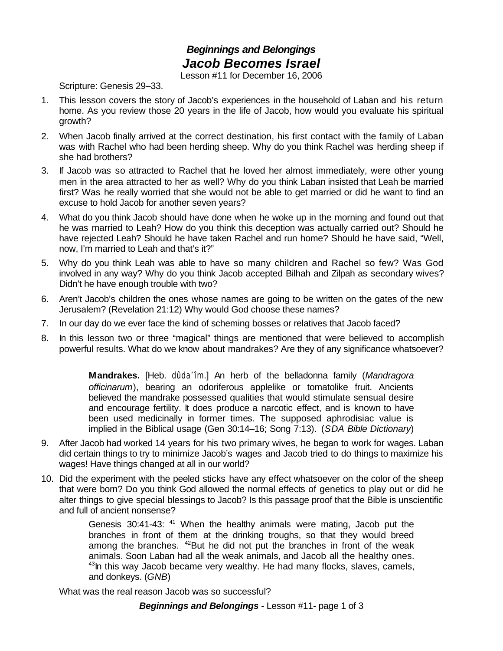## *Beginnings and Belongings Jacob Becomes Israel*

Lesson #11 for December 16, 2006

Scripture: Genesis 29–33.

- 1. This lesson covers the story of Jacob's experiences in the household of Laban and his return home. As you review those 20 years in the life of Jacob, how would you evaluate his spiritual growth?
- 2. When Jacob finally arrived at the correct destination, his first contact with the family of Laban was with Rachel who had been herding sheep. Why do you think Rachel was herding sheep if she had brothers?
- 3. If Jacob was so attracted to Rachel that he loved her almost immediately, were other young men in the area attracted to her as well? Why do you think Laban insisted that Leah be married first? Was he really worried that she would not be able to get married or did he want to find an excuse to hold Jacob for another seven years?
- 4. What do you think Jacob should have done when he woke up in the morning and found out that he was married to Leah? How do you think this deception was actually carried out? Should he have rejected Leah? Should he have taken Rachel and run home? Should he have said, "Well, now, I'm married to Leah and that's it?"
- 5. Why do you think Leah was able to have so many children and Rachel so few? Was God involved in any way? Why do you think Jacob accepted Bilhah and Zilpah as secondary wives? Didn't he have enough trouble with two?
- 6. Aren't Jacob's children the ones whose names are going to be written on the gates of the new Jerusalem? (Revelation 21:12) Why would God choose these names?
- 7. In our day do we ever face the kind of scheming bosses or relatives that Jacob faced?
- 8. In this lesson two or three "magical" things are mentioned that were believed to accomplish powerful results. What do we know about mandrakes? Are they of any significance whatsoever?

**Mandrakes.** [Heb. *dûda'îm*.] An herb of the belladonna family (*Mandragora officinarum*), bearing an odoriferous applelike or tomatolike fruit. Ancients believed the mandrake possessed qualities that would stimulate sensual desire and encourage fertility. It does produce a narcotic effect, and is known to have been used medicinally in former times. The supposed aphrodisiac value is implied in the Biblical usage (Gen 30:14–16; Song 7:13). (*SDA Bible Dictionary*)

- 9. After Jacob had worked 14 years for his two primary wives, he began to work for wages. Laban did certain things to try to minimize Jacob's wages and Jacob tried to do things to maximize his wages! Have things changed at all in our world?
- 10. Did the experiment with the peeled sticks have any effect whatsoever on the color of the sheep that were born? Do you think God allowed the normal effects of genetics to play out or did he alter things to give special blessings to Jacob? Is this passage proof that the Bible is unscientific and full of ancient nonsense?

Genesis 30:41-43: <sup>41</sup> When the healthy animals were mating, Jacob put the branches in front of them at the drinking troughs, so that they would breed among the branches.  $42$ But he did not put the branches in front of the weak animals. Soon Laban had all the weak animals, and Jacob all the healthy ones.  $43$ In this way Jacob became very wealthy. He had many flocks, slaves, camels, and donkeys. (*GNB*)

What was the real reason Jacob was so successful?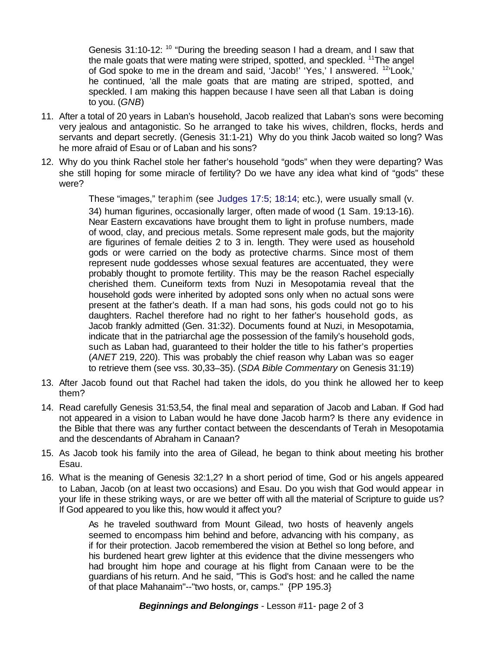Genesis 31:10-12: <sup>10</sup> "During the breeding season I had a dream, and I saw that the male goats that were mating were striped, spotted, and speckled,  $11$ The angel of God spoke to me in the dream and said, 'Jacob!' 'Yes,' I answered. <sup>12</sup>'Look,' he continued, 'all the male goats that are mating are striped, spotted, and speckled. I am making this happen because I have seen all that Laban is doing to you. (*GNB*)

- 11. After a total of 20 years in Laban's household, Jacob realized that Laban's sons were becoming very jealous and antagonistic. So he arranged to take his wives, children, flocks, herds and servants and depart secretly. (Genesis 31:1-21) Why do you think Jacob waited so long? Was he more afraid of Esau or of Laban and his sons?
- 12. Why do you think Rachel stole her father's household "gods" when they were departing? Was she still hoping for some miracle of fertility? Do we have any idea what kind of "gods" these were?

These "images," *teraphim* (see Judges 17:5; 18:14; etc.), were usually small (v. 34) human figurines, occasionally larger, often made of wood (1 Sam. 19:13-16). Near Eastern excavations have brought them to light in profuse numbers, made of wood, clay, and precious metals. Some represent male gods, but the majority are figurines of female deities 2 to 3 in. length. They were used as household gods or were carried on the body as protective charms. Since most of them represent nude goddesses whose sexual features are accentuated, they were probably thought to promote fertility. This may be the reason Rachel especially cherished them. Cuneiform texts from Nuzi in Mesopotamia reveal that the household gods were inherited by adopted sons only when no actual sons were present at the father's death. If a man had sons, his gods could not go to his daughters. Rachel therefore had no right to her father's household gods, as Jacob frankly admitted (Gen. 31:32). Documents found at Nuzi, in Mesopotamia, indicate that in the patriarchal age the possession of the family's household gods, such as Laban had, guaranteed to their holder the title to his father's properties (*ANET* 219, 220). This was probably the chief reason why Laban was so eager to retrieve them (see vss. 30,33–35). (*SDA Bible Commentary* on Genesis 31:19)

- 13. After Jacob found out that Rachel had taken the idols, do you think he allowed her to keep them?
- 14. Read carefully Genesis 31:53,54, the final meal and separation of Jacob and Laban. If God had not appeared in a vision to Laban would he have done Jacob harm? Is there any evidence in the Bible that there was any further contact between the descendants of Terah in Mesopotamia and the descendants of Abraham in Canaan?
- 15. As Jacob took his family into the area of Gilead, he began to think about meeting his brother Esau.
- 16. What is the meaning of Genesis 32:1,2? In a short period of time, God or his angels appeared to Laban, Jacob (on at least two occasions) and Esau. Do you wish that God would appear in your life in these striking ways, or are we better off with all the material of Scripture to guide us? If God appeared to you like this, how would it affect you?

As he traveled southward from Mount Gilead, two hosts of heavenly angels seemed to encompass him behind and before, advancing with his company, as if for their protection. Jacob remembered the vision at Bethel so long before, and his burdened heart grew lighter at this evidence that the divine messengers who had brought him hope and courage at his flight from Canaan were to be the guardians of his return. And he said, "This is God's host: and he called the name of that place Mahanaim"--"two hosts, or, camps." {PP 195.3}